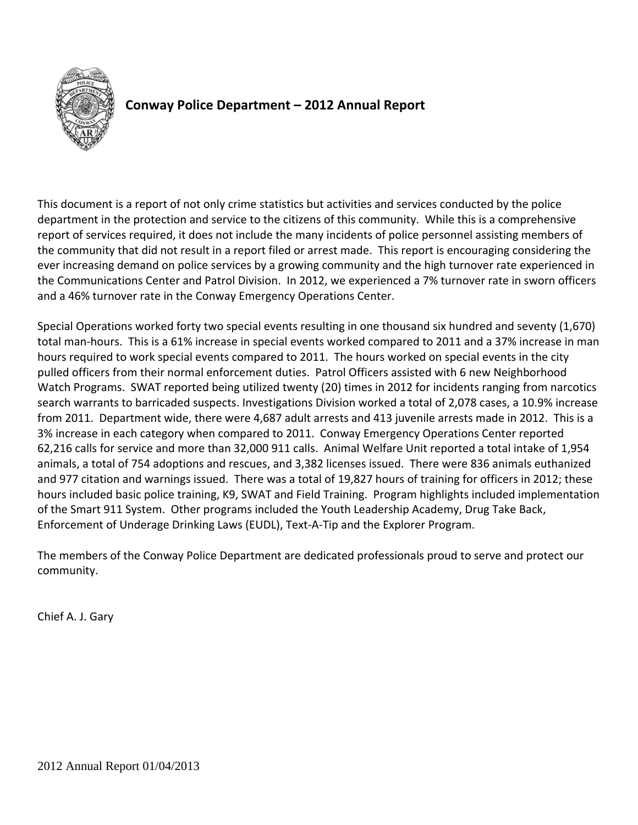

# **Conway Police Department – 2012 Annual Report**

This document is a report of not only crime statistics but activities and services conducted by the police department in the protection and service to the citizens of this community. While this is a comprehensive report of services required, it does not include the many incidents of police personnel assisting members of the community that did not result in a report filed or arrest made. This report is encouraging considering the ever increasing demand on police services by a growing community and the high turnover rate experienced in the Communications Center and Patrol Division. In 2012, we experienced a 7% turnover rate in sworn officers and a 46% turnover rate in the Conway Emergency Operations Center.

Special Operations worked forty two special events resulting in one thousand six hundred and seventy (1,670) total man‐hours. This is a 61% increase in special events worked compared to 2011 and a 37% increase in man hours required to work special events compared to 2011. The hours worked on special events in the city pulled officers from their normal enforcement duties. Patrol Officers assisted with 6 new Neighborhood Watch Programs. SWAT reported being utilized twenty (20) times in 2012 for incidents ranging from narcotics search warrants to barricaded suspects. Investigations Division worked a total of 2,078 cases, a 10.9% increase from 2011. Department wide, there were 4,687 adult arrests and 413 juvenile arrests made in 2012. This is a 3% increase in each category when compared to 2011. Conway Emergency Operations Center reported 62,216 calls for service and more than 32,000 911 calls. Animal Welfare Unit reported a total intake of 1,954 animals, a total of 754 adoptions and rescues, and 3,382 licenses issued. There were 836 animals euthanized and 977 citation and warnings issued. There was a total of 19,827 hours of training for officers in 2012; these hours included basic police training, K9, SWAT and Field Training. Program highlights included implementation of the Smart 911 System. Other programs included the Youth Leadership Academy, Drug Take Back, Enforcement of Underage Drinking Laws (EUDL), Text‐A‐Tip and the Explorer Program.

The members of the Conway Police Department are dedicated professionals proud to serve and protect our community.

Chief A. J. Gary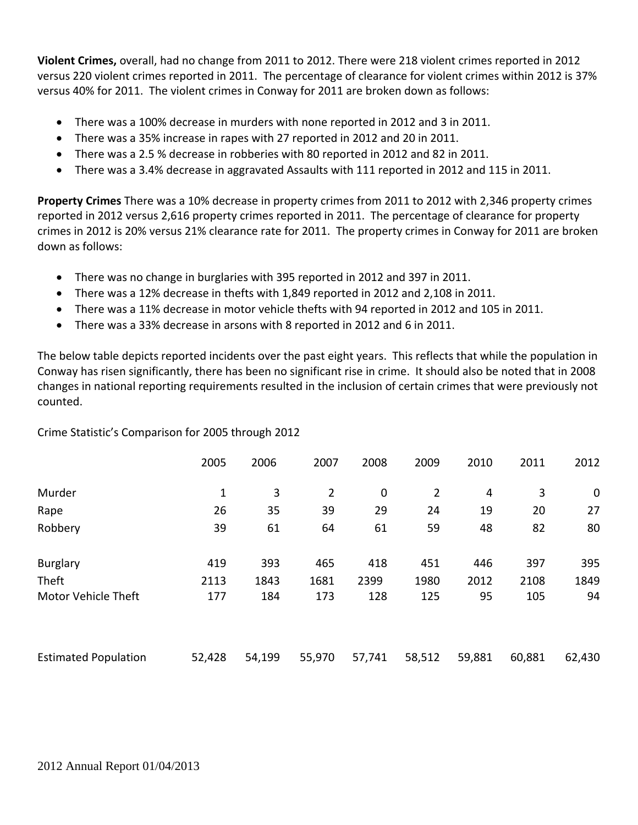**Violent Crimes,** overall, had no change from 2011 to 2012. There were 218 violent crimes reported in 2012 versus 220 violent crimes reported in 2011. The percentage of clearance for violent crimes within 2012 is 37% versus 40% for 2011. The violent crimes in Conway for 2011 are broken down as follows:

- There was a 100% decrease in murders with none reported in 2012 and 3 in 2011.
- There was a 35% increase in rapes with 27 reported in 2012 and 20 in 2011.
- There was a 2.5 % decrease in robberies with 80 reported in 2012 and 82 in 2011.
- There was a 3.4% decrease in aggravated Assaults with 111 reported in 2012 and 115 in 2011.

**Property Crimes** There was a 10% decrease in property crimes from 2011 to 2012 with 2,346 property crimes reported in 2012 versus 2,616 property crimes reported in 2011. The percentage of clearance for property crimes in 2012 is 20% versus 21% clearance rate for 2011. The property crimes in Conway for 2011 are broken down as follows:

- There was no change in burglaries with 395 reported in 2012 and 397 in 2011.
- There was a 12% decrease in thefts with 1,849 reported in 2012 and 2,108 in 2011.
- There was a 11% decrease in motor vehicle thefts with 94 reported in 2012 and 105 in 2011.
- There was a 33% decrease in arsons with 8 reported in 2012 and 6 in 2011.

The below table depicts reported incidents over the past eight years. This reflects that while the population in Conway has risen significantly, there has been no significant rise in crime. It should also be noted that in 2008 changes in national reporting requirements resulted in the inclusion of certain crimes that were previously not counted.

Crime Statistic's Comparison for 2005 through 2012

|                             | 2005   | 2006   | 2007           | 2008        | 2009           | 2010   | 2011   | 2012        |
|-----------------------------|--------|--------|----------------|-------------|----------------|--------|--------|-------------|
| Murder                      | 1      | 3      | $\overline{2}$ | $\mathbf 0$ | $\overline{2}$ | 4      | 3      | $\mathbf 0$ |
| Rape                        | 26     | 35     | 39             | 29          | 24             | 19     | 20     | 27          |
| Robbery                     | 39     | 61     | 64             | 61          | 59             | 48     | 82     | 80          |
| <b>Burglary</b>             | 419    | 393    | 465            | 418         | 451            | 446    | 397    | 395         |
| Theft                       | 2113   | 1843   | 1681           | 2399        | 1980           | 2012   | 2108   | 1849        |
| Motor Vehicle Theft         | 177    | 184    | 173            | 128         | 125            | 95     | 105    | 94          |
| <b>Estimated Population</b> | 52,428 | 54,199 | 55,970         | 57,741      | 58,512         | 59,881 | 60,881 | 62,430      |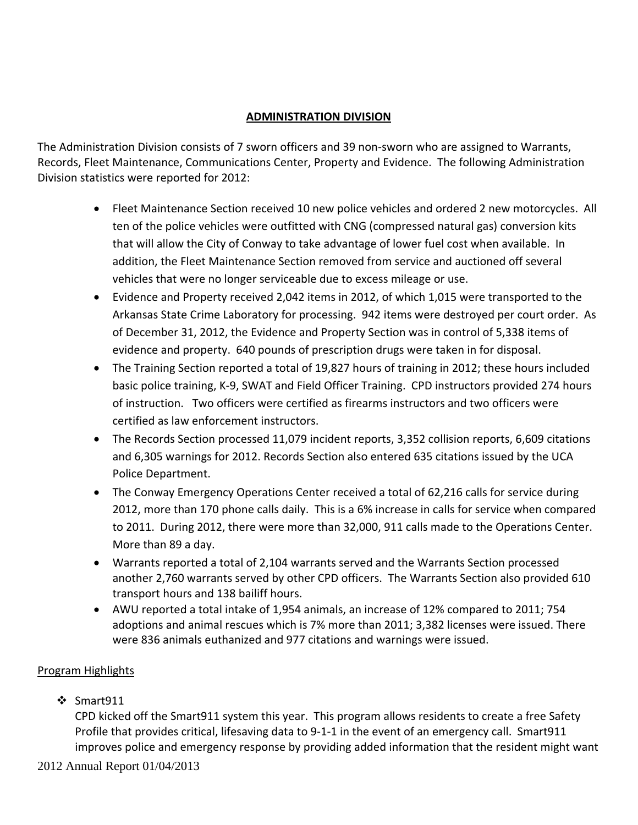# **ADMINISTRATION DIVISION**

The Administration Division consists of 7 sworn officers and 39 non-sworn who are assigned to Warrants, Records, Fleet Maintenance, Communications Center, Property and Evidence. The following Administration Division statistics were reported for 2012:

- Fleet Maintenance Section received 10 new police vehicles and ordered 2 new motorcycles. All ten of the police vehicles were outfitted with CNG (compressed natural gas) conversion kits that will allow the City of Conway to take advantage of lower fuel cost when available. In addition, the Fleet Maintenance Section removed from service and auctioned off several vehicles that were no longer serviceable due to excess mileage or use.
- Evidence and Property received 2,042 items in 2012, of which 1,015 were transported to the Arkansas State Crime Laboratory for processing. 942 items were destroyed per court order. As of December 31, 2012, the Evidence and Property Section was in control of 5,338 items of evidence and property. 640 pounds of prescription drugs were taken in for disposal.
- The Training Section reported a total of 19,827 hours of training in 2012; these hours included basic police training, K‐9, SWAT and Field Officer Training. CPD instructors provided 274 hours of instruction. Two officers were certified as firearms instructors and two officers were certified as law enforcement instructors.
- The Records Section processed 11,079 incident reports, 3,352 collision reports, 6,609 citations and 6,305 warnings for 2012. Records Section also entered 635 citations issued by the UCA Police Department.
- The Conway Emergency Operations Center received a total of 62,216 calls for service during 2012, more than 170 phone calls daily. This is a 6% increase in calls for service when compared to 2011. During 2012, there were more than 32,000, 911 calls made to the Operations Center. More than 89 a day.
- Warrants reported a total of 2,104 warrants served and the Warrants Section processed another 2,760 warrants served by other CPD officers. The Warrants Section also provided 610 transport hours and 138 bailiff hours.
- AWU reported a total intake of 1,954 animals, an increase of 12% compared to 2011; 754 adoptions and animal rescues which is 7% more than 2011; 3,382 licenses were issued. There were 836 animals euthanized and 977 citations and warnings were issued.

# Program Highlights

 $\div$  Smart911

CPD kicked off the Smart911 system this year. This program allows residents to create a free Safety Profile that provides critical, lifesaving data to 9‐1‐1 in the event of an emergency call. Smart911 improves police and emergency response by providing added information that the resident might want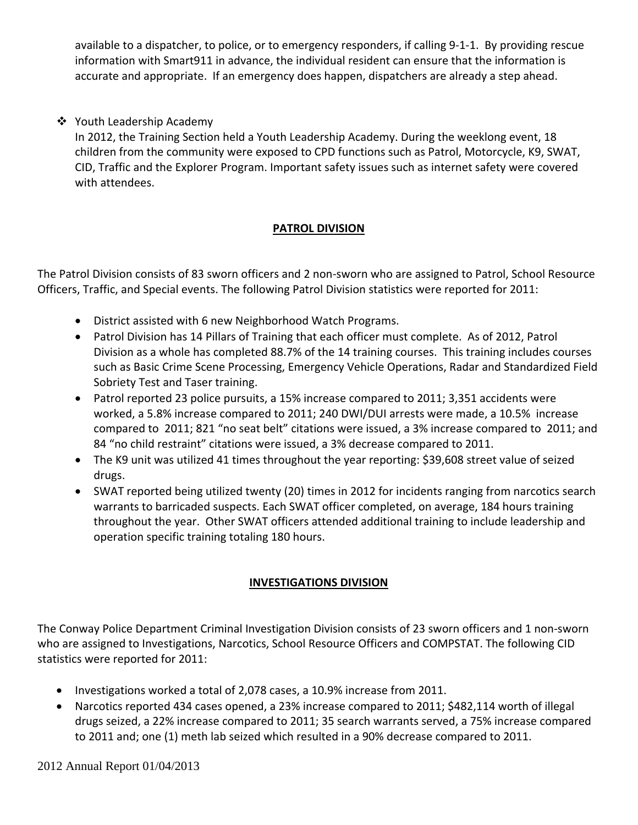available to a dispatcher, to police, or to emergency responders, if calling 9‐1‐1. By providing rescue information with Smart911 in advance, the individual resident can ensure that the information is accurate and appropriate. If an emergency does happen, dispatchers are already a step ahead.

# ❖ Youth Leadership Academy

In 2012, the Training Section held a Youth Leadership Academy. During the weeklong event, 18 children from the community were exposed to CPD functions such as Patrol, Motorcycle, K9, SWAT, CID, Traffic and the Explorer Program. Important safety issues such as internet safety were covered with attendees.

# **PATROL DIVISION**

The Patrol Division consists of 83 sworn officers and 2 non‐sworn who are assigned to Patrol, School Resource Officers, Traffic, and Special events. The following Patrol Division statistics were reported for 2011:

- District assisted with 6 new Neighborhood Watch Programs.
- Patrol Division has 14 Pillars of Training that each officer must complete. As of 2012, Patrol Division as a whole has completed 88.7% of the 14 training courses. This training includes courses such as Basic Crime Scene Processing, Emergency Vehicle Operations, Radar and Standardized Field Sobriety Test and Taser training.
- Patrol reported 23 police pursuits, a 15% increase compared to 2011; 3,351 accidents were worked, a 5.8% increase compared to 2011; 240 DWI/DUI arrests were made, a 10.5% increase compared to 2011; 821 "no seat belt" citations were issued, a 3% increase compared to 2011; and 84 "no child restraint" citations were issued, a 3% decrease compared to 2011.
- The K9 unit was utilized 41 times throughout the year reporting: \$39,608 street value of seized drugs.
- SWAT reported being utilized twenty (20) times in 2012 for incidents ranging from narcotics search warrants to barricaded suspects. Each SWAT officer completed, on average, 184 hours training throughout the year. Other SWAT officers attended additional training to include leadership and operation specific training totaling 180 hours.

# **INVESTIGATIONS DIVISION**

The Conway Police Department Criminal Investigation Division consists of 23 sworn officers and 1 non‐sworn who are assigned to Investigations, Narcotics, School Resource Officers and COMPSTAT. The following CID statistics were reported for 2011:

- Investigations worked a total of 2,078 cases, a 10.9% increase from 2011.
- Narcotics reported 434 cases opened, a 23% increase compared to 2011; \$482,114 worth of illegal drugs seized, a 22% increase compared to 2011; 35 search warrants served, a 75% increase compared to 2011 and; one (1) meth lab seized which resulted in a 90% decrease compared to 2011.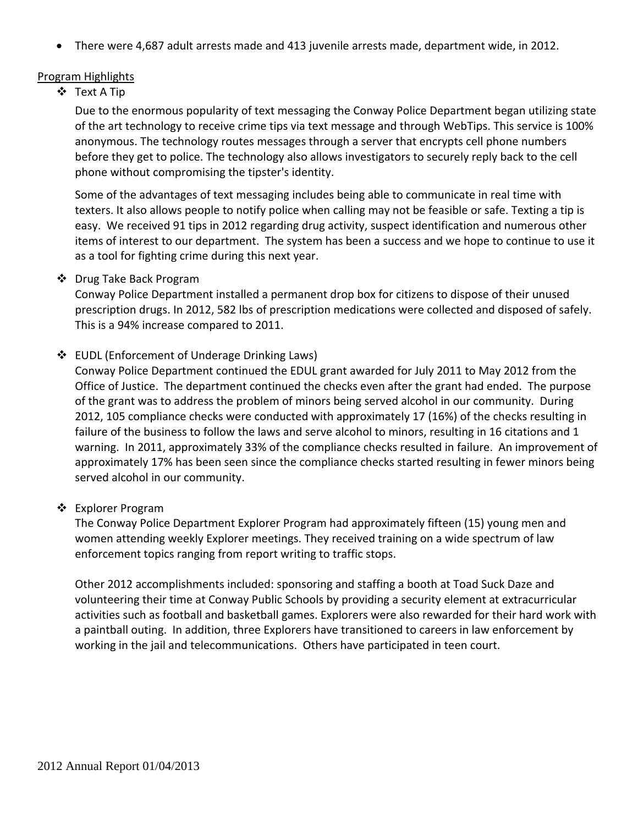• There were 4,687 adult arrests made and 413 juvenile arrests made, department wide, in 2012.

#### Program Highlights

Text A Tip

Due to the enormous popularity of text messaging the Conway Police Department began utilizing state of the art technology to receive crime tips via text message and through WebTips. This service is 100% anonymous. The technology routes messages through a server that encrypts cell phone numbers before they get to police. The technology also allows investigators to securely reply back to the cell phone without compromising the tipster's identity.

Some of the advantages of text messaging includes being able to communicate in real time with texters. It also allows people to notify police when calling may not be feasible or safe. Texting a tip is easy. We received 91 tips in 2012 regarding drug activity, suspect identification and numerous other items of interest to our department. The system has been a success and we hope to continue to use it as a tool for fighting crime during this next year.

### ❖ Drug Take Back Program

Conway Police Department installed a permanent drop box for citizens to dispose of their unused prescription drugs. In 2012, 582 lbs of prescription medications were collected and disposed of safely. This is a 94% increase compared to 2011.

### EUDL (Enforcement of Underage Drinking Laws)

Conway Police Department continued the EDUL grant awarded for July 2011 to May 2012 from the Office of Justice. The department continued the checks even after the grant had ended. The purpose of the grant was to address the problem of minors being served alcohol in our community. During 2012, 105 compliance checks were conducted with approximately 17 (16%) of the checks resulting in failure of the business to follow the laws and serve alcohol to minors, resulting in 16 citations and 1 warning. In 2011, approximately 33% of the compliance checks resulted in failure. An improvement of approximately 17% has been seen since the compliance checks started resulting in fewer minors being served alcohol in our community.

### ❖ Explorer Program

The Conway Police Department Explorer Program had approximately fifteen (15) young men and women attending weekly Explorer meetings. They received training on a wide spectrum of law enforcement topics ranging from report writing to traffic stops.

Other 2012 accomplishments included: sponsoring and staffing a booth at Toad Suck Daze and volunteering their time at Conway Public Schools by providing a security element at extracurricular activities such as football and basketball games. Explorers were also rewarded for their hard work with a paintball outing. In addition, three Explorers have transitioned to careers in law enforcement by working in the jail and telecommunications. Others have participated in teen court.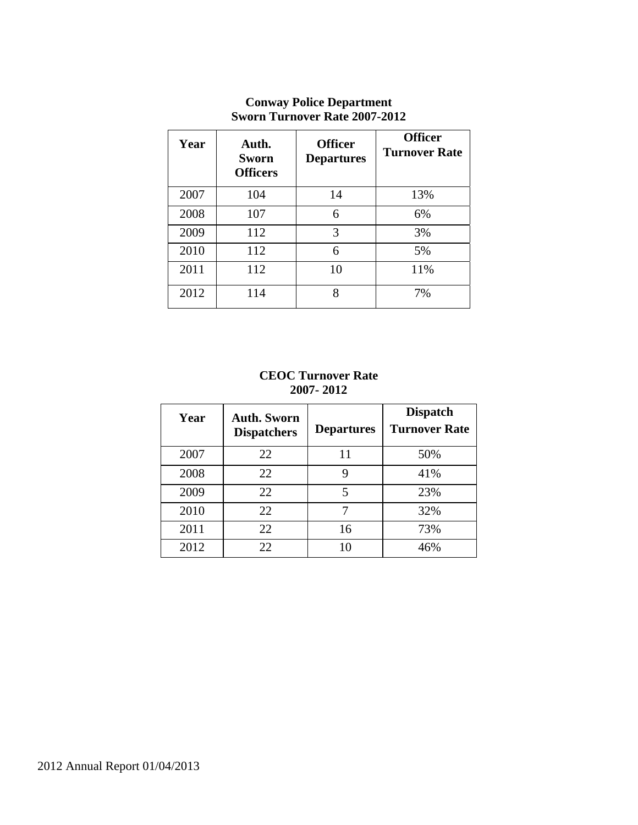| Year | Auth.<br><b>Sworn</b><br><b>Officers</b> | <b>Officer</b><br><b>Departures</b> | <b>Officer</b><br><b>Turnover Rate</b> |
|------|------------------------------------------|-------------------------------------|----------------------------------------|
| 2007 | 104                                      | 14                                  | 13%                                    |
| 2008 | 107                                      | 6                                   | 6%                                     |
| 2009 | 112                                      | 3                                   | 3%                                     |
| 2010 | 112                                      | 6                                   | 5%                                     |
| 2011 | 112                                      | 10                                  | 11%                                    |
| 2012 | 114                                      | 8                                   | 7%                                     |

# **Conway Police Department Sworn Turnover Rate 2007-2012**

#### **CEOC Turnover Rate 2007- 2012**

| Year | <b>Auth. Sworn</b><br><b>Dispatchers</b> | <b>Departures</b> | <b>Dispatch</b><br><b>Turnover Rate</b> |
|------|------------------------------------------|-------------------|-----------------------------------------|
| 2007 | 22                                       | 11                | 50%                                     |
| 2008 | 22                                       | 9                 | 41%                                     |
| 2009 | 22                                       | 5                 | 23%                                     |
| 2010 | 22                                       |                   | 32%                                     |
| 2011 | 22                                       | 16                | 73%                                     |
| 2012 | 22                                       | 10                | 46%                                     |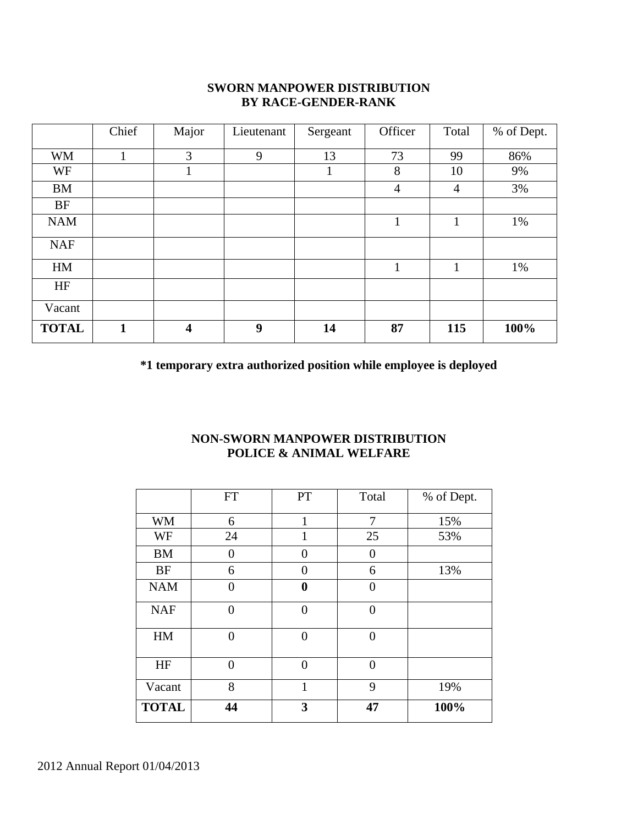### **SWORN MANPOWER DISTRIBUTION BY RACE-GENDER-RANK**

|              | Chief        | Major                   | Lieutenant | Sergeant | Officer        | Total          | % of Dept. |
|--------------|--------------|-------------------------|------------|----------|----------------|----------------|------------|
| <b>WM</b>    | T            | 3                       | 9          | 13       | 73             | 99             | 86%        |
| WF           |              | 1                       |            | 1        | 8              | 10             | 9%         |
| <b>BM</b>    |              |                         |            |          | $\overline{4}$ | $\overline{4}$ | 3%         |
| <b>BF</b>    |              |                         |            |          |                |                |            |
| <b>NAM</b>   |              |                         |            |          | 1              | 1              | 1%         |
| <b>NAF</b>   |              |                         |            |          |                |                |            |
| HM           |              |                         |            |          | $\mathbf{1}$   | $\mathbf{1}$   | 1%         |
| HF           |              |                         |            |          |                |                |            |
| Vacant       |              |                         |            |          |                |                |            |
| <b>TOTAL</b> | $\mathbf{1}$ | $\overline{\mathbf{4}}$ | 9          | 14       | 87             | 115            | 100%       |

**\*1 temporary extra authorized position while employee is deployed**

# **NON-SWORN MANPOWER DISTRIBUTION POLICE & ANIMAL WELFARE**

|              | <b>FT</b>      | PT               | Total    | % of Dept. |
|--------------|----------------|------------------|----------|------------|
| <b>WM</b>    | 6              | 1                | 7        | 15%        |
| WF           | 24             | 1                | 25       | 53%        |
| <b>BM</b>    | $\overline{0}$ | $\Omega$         | 0        |            |
| <b>BF</b>    | 6              | $\theta$         | 6        | 13%        |
| <b>NAM</b>   | 0              | $\boldsymbol{0}$ | 0        |            |
| <b>NAF</b>   | $\overline{0}$ | $\theta$         | $\theta$ |            |
| HM           | $\overline{0}$ | $\Omega$         | $\theta$ |            |
| HF           | $\overline{0}$ | $\theta$         | $\theta$ |            |
| Vacant       | 8              | 1                | 9        | 19%        |
| <b>TOTAL</b> | 44             | 3                | 47       | 100%       |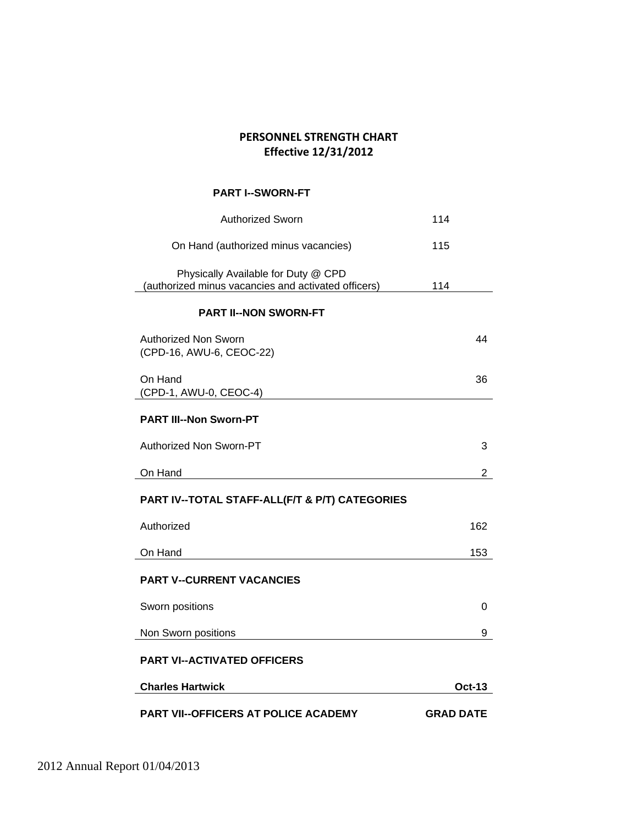## **PERSONNEL STRENGTH CHART Effective 12/31/2012**

#### **PART I--SWORN-FT**

| <b>Authorized Sworn</b>                                                                    | 114              |
|--------------------------------------------------------------------------------------------|------------------|
| On Hand (authorized minus vacancies)                                                       | 115              |
| Physically Available for Duty @ CPD<br>(authorized minus vacancies and activated officers) | 114              |
| <b>PART II--NON SWORN-FT</b>                                                               |                  |
| Authorized Non Sworn<br>(CPD-16, AWU-6, CEOC-22)                                           | 44               |
| On Hand<br>(CPD-1, AWU-0, CEOC-4)                                                          | 36               |
| <b>PART III--Non Sworn-PT</b>                                                              |                  |
| Authorized Non Sworn-PT                                                                    | 3                |
| On Hand                                                                                    | $\overline{2}$   |
| PART IV--TOTAL STAFF-ALL(F/T & P/T) CATEGORIES                                             |                  |
| Authorized                                                                                 | 162              |
| On Hand                                                                                    | 153              |
| <b>PART V--CURRENT VACANCIES</b>                                                           |                  |
| Sworn positions                                                                            | 0                |
| Non Sworn positions                                                                        | 9                |
| <b>PART VI--ACTIVATED OFFICERS</b>                                                         |                  |
| <b>Charles Hartwick</b>                                                                    | Oct-13           |
| PART VII--OFFICERS AT POLICE ACADEMY                                                       | <b>GRAD DATE</b> |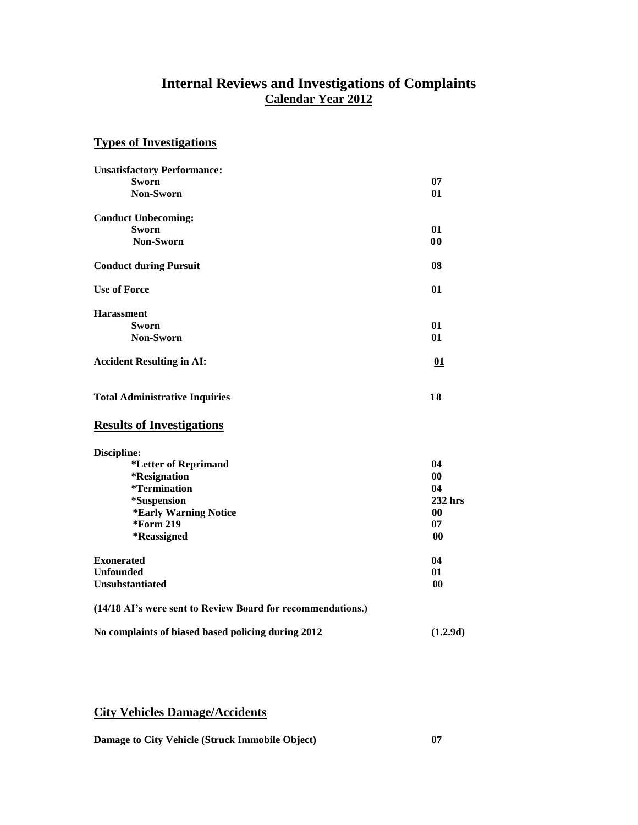# **Internal Reviews and Investigations of Complaints Calendar Year 2012**

#### **Types of Investigations**

| <b>Unsatisfactory Performance:</b>    |                |
|---------------------------------------|----------------|
| <b>Sworn</b>                          | 07             |
| Non-Sworn                             | 01             |
| <b>Conduct Unbecoming:</b>            |                |
| <b>Sworn</b>                          | 01             |
| Non-Sworn                             | 0 <sub>0</sub> |
| <b>Conduct during Pursuit</b>         | 08             |
| <b>Use of Force</b>                   | 01             |
| <b>Harassment</b>                     |                |
| <b>Sworn</b>                          | 01             |
| <b>Non-Sworn</b>                      | 01             |
| <b>Accident Resulting in AI:</b>      | 01             |
| <b>Total Administrative Inquiries</b> | 18             |
| <b>Results of Investigations</b>      |                |
| Discipline:                           |                |
| *Letter of Reprimand                  | 04             |
| <i><b>*Resignation</b></i>            | 0 <sub>0</sub> |
| <i>*</i> Termination                  | 04             |
| *Suspension                           | 232 hrs        |
| *Early Warning Notice                 | 00             |
| *Form 219                             | 07             |
| *Reassigned                           | 00             |
| <b>Exonerated</b>                     | 04             |
| <b>Unfounded</b>                      | 01             |
| Unsubstantiated                       | $\bf{00}$      |

| (14/18 AI's were sent to Review Board for recommendations.) |
|-------------------------------------------------------------|
|                                                             |

#### **No complaints of biased based policing during 2012 (1.2.9d)**

# **City Vehicles Damage/Accidents**

**Damage to City Vehicle (Struck Immobile Object) 07**